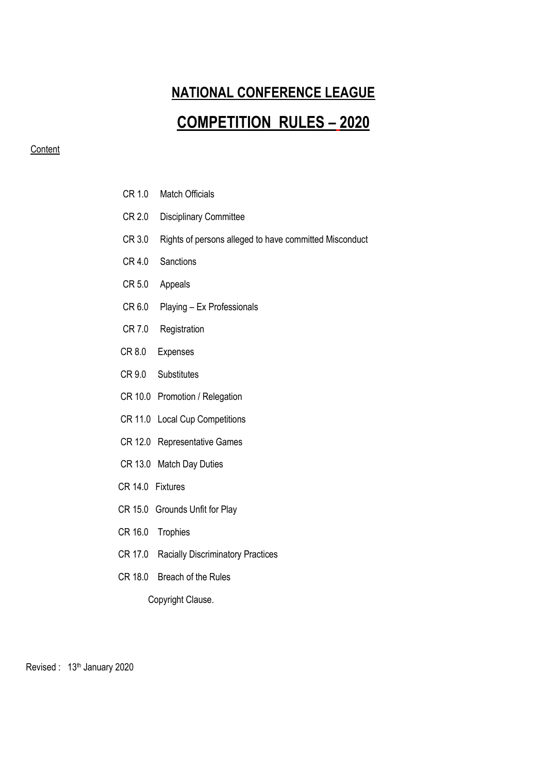# **NATIONAL CONFERENCE LEAGUE**

# **COMPETITION RULES – 2020**

## **Content**

- CR 1.0 Match Officials
- CR 2.0 Disciplinary Committee
- CR 3.0 Rights of persons alleged to have committed Misconduct
- CR 4.0 Sanctions
- CR 5.0 Appeals
- CR 6.0 Playing Ex Professionals
- CR 7.0 Registration
- CR 8.0 Expenses
- CR 9.0 Substitutes
- CR 10.0 Promotion / Relegation
- CR 11.0 Local Cup Competitions
- CR 12.0 Representative Games
- CR 13.0 Match Day Duties
- CR 14.0 Fixtures
- CR 15.0 Grounds Unfit for Play
- CR 16.0 Trophies
- CR 17.0 Racially Discriminatory Practices
- CR 18.0 Breach of the Rules

Copyright Clause.

Revised : 13<sup>th</sup> January 2020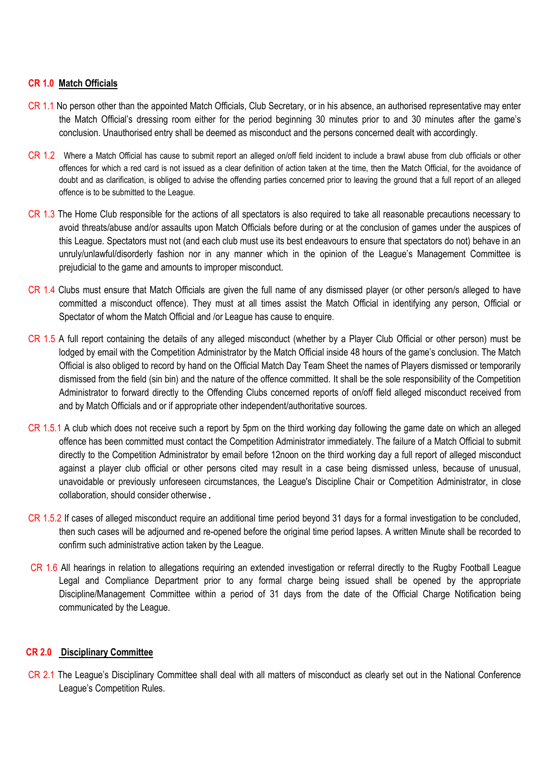#### **CR 1.0 Match Officials**

- CR 1.1 No person other than the appointed Match Officials, Club Secretary, or in his absence, an authorised representative may enter the Match Official's dressing room either for the period beginning 30 minutes prior to and 30 minutes after the game's conclusion. Unauthorised entry shall be deemed as misconduct and the persons concerned dealt with accordingly.
- CR 1.2 Where a Match Official has cause to submit report an alleged on/off field incident to include a brawl abuse from club officials or other offences for which a red card is not issued as a clear definition of action taken at the time, then the Match Official, for the avoidance of doubt and as clarification, is obliged to advise the offending parties concerned prior to leaving the ground that a full report of an alleged offence is to be submitted to the League.
- CR 1.3 The Home Club responsible for the actions of all spectators is also required to take all reasonable precautions necessary to avoid threats/abuse and/or assaults upon Match Officials before during or at the conclusion of games under the auspices of this League. Spectators must not (and each club must use its best endeavours to ensure that spectators do not) behave in an unruly/unlawful/disorderly fashion nor in any manner which in the opinion of the League's Management Committee is prejudicial to the game and amounts to improper misconduct.
- CR 1.4 Clubs must ensure that Match Officials are given the full name of any dismissed player (or other person/s alleged to have committed a misconduct offence). They must at all times assist the Match Official in identifying any person, Official or Spectator of whom the Match Official and /or League has cause to enquire.
- CR 1.5 A full report containing the details of any alleged misconduct (whether by a Player Club Official or other person) must be lodged by email with the Competition Administrator by the Match Official inside 48 hours of the game's conclusion. The Match Official is also obliged to record by hand on the Official Match Day Team Sheet the names of Players dismissed or temporarily dismissed from the field (sin bin) and the nature of the offence committed. It shall be the sole responsibility of the Competition Administrator to forward directly to the Offending Clubs concerned reports of on/off field alleged misconduct received from and by Match Officials and or if appropriate other independent/authoritative sources.
- CR 1.5.1 A club which does not receive such a report by 5pm on the third working day following the game date on which an alleged offence has been committed must contact the Competition Administrator immediately. The failure of a Match Official to submit directly to the Competition Administrator by email before 12noon on the third working day a full report of alleged misconduct against a player club official or other persons cited may result in a case being dismissed unless, because of unusual, unavoidable or previously unforeseen circumstances, the League's Discipline Chair or Competition Administrator, in close collaboration, should consider otherwise.
- CR 1.5.2 If cases of alleged misconduct require an additional time period beyond 31 days for a formal investigation to be concluded, then such cases will be adjourned and re-opened before the original time period lapses. A written Minute shall be recorded to confirm such administrative action taken by the League.
- CR 1.6 All hearings in relation to allegations requiring an extended investigation or referral directly to the Rugby Football League Legal and Compliance Department prior to any formal charge being issued shall be opened by the appropriate Discipline/Management Committee within a period of 31 days from the date of the Official Charge Notification being communicated by the League.

# **CR 2.0 Disciplinary Committee**

CR 2.1 The League's Disciplinary Committee shall deal with all matters of misconduct as clearly set out in the National Conference League's Competition Rules.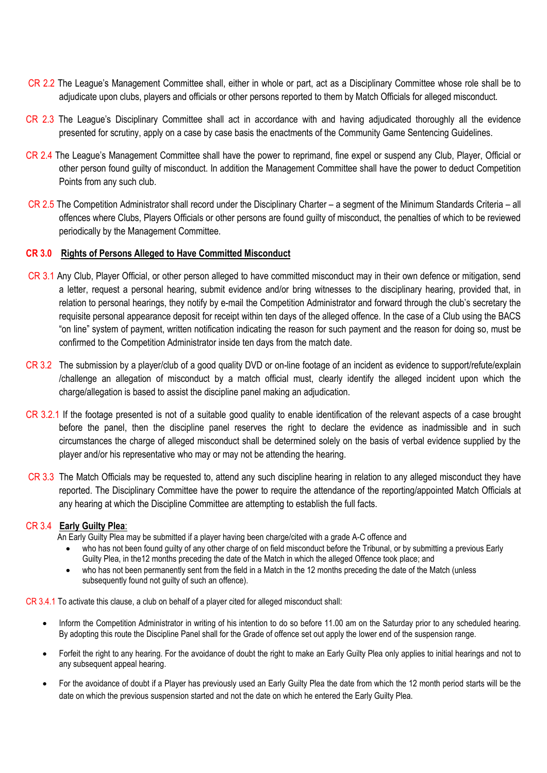- CR 2.2 The League's Management Committee shall, either in whole or part, act as a Disciplinary Committee whose role shall be to adjudicate upon clubs, players and officials or other persons reported to them by Match Officials for alleged misconduct.
- CR 2.3 The League's Disciplinary Committee shall act in accordance with and having adjudicated thoroughly all the evidence presented for scrutiny, apply on a case by case basis the enactments of the Community Game Sentencing Guidelines.
- CR 2.4 The League's Management Committee shall have the power to reprimand, fine expel or suspend any Club, Player, Official or other person found guilty of misconduct. In addition the Management Committee shall have the power to deduct Competition Points from any such club.
- CR 2.5 The Competition Administrator shall record under the Disciplinary Charter a segment of the Minimum Standards Criteria all offences where Clubs, Players Officials or other persons are found guilty of misconduct, the penalties of which to be reviewed periodically by the Management Committee.

# **CR 3.0 Rights of Persons Alleged to Have Committed Misconduct**

- CR 3.1 Any Club, Player Official, or other person alleged to have committed misconduct may in their own defence or mitigation, send a letter, request a personal hearing, submit evidence and/or bring witnesses to the disciplinary hearing, provided that, in relation to personal hearings, they notify by e-mail the Competition Administrator and forward through the club's secretary the requisite personal appearance deposit for receipt within ten days of the alleged offence. In the case of a Club using the BACS "on line" system of payment, written notification indicating the reason for such payment and the reason for doing so, must be confirmed to the Competition Administrator inside ten days from the match date.
- CR 3.2 The submission by a player/club of a good quality DVD or on-line footage of an incident as evidence to support/refute/explain /challenge an allegation of misconduct by a match official must, clearly identify the alleged incident upon which the charge/allegation is based to assist the discipline panel making an adjudication.
- CR 3.2.1 If the footage presented is not of a suitable good quality to enable identification of the relevant aspects of a case brought before the panel, then the discipline panel reserves the right to declare the evidence as inadmissible and in such circumstances the charge of alleged misconduct shall be determined solely on the basis of verbal evidence supplied by the player and/or his representative who may or may not be attending the hearing.
- CR 3.3 The Match Officials may be requested to, attend any such discipline hearing in relation to any alleged misconduct they have reported. The Disciplinary Committee have the power to require the attendance of the reporting/appointed Match Officials at any hearing at which the Discipline Committee are attempting to establish the full facts.

#### CR 3.4 **Early Guilty Plea**:

An Early Guilty Plea may be submitted if a player having been charge/cited with a grade A-C offence and

- who has not been found guilty of any other charge of on field misconduct before the Tribunal, or by submitting a previous Early Guilty Plea, in the12 months preceding the date of the Match in which the alleged Offence took place; and
- who has not been permanently sent from the field in a Match in the 12 months preceding the date of the Match (unless subsequently found not guilty of such an offence).

CR 3.4.1 To activate this clause, a club on behalf of a player cited for alleged misconduct shall:

- Inform the Competition Administrator in writing of his intention to do so before 11.00 am on the Saturday prior to any scheduled hearing. By adopting this route the Discipline Panel shall for the Grade of offence set out apply the lower end of the suspension range.
- Forfeit the right to any hearing. For the avoidance of doubt the right to make an Early Guilty Plea only applies to initial hearings and not to any subsequent appeal hearing.
- For the avoidance of doubt if a Player has previously used an Early Guilty Plea the date from which the 12 month period starts will be the date on which the previous suspension started and not the date on which he entered the Early Guilty Plea.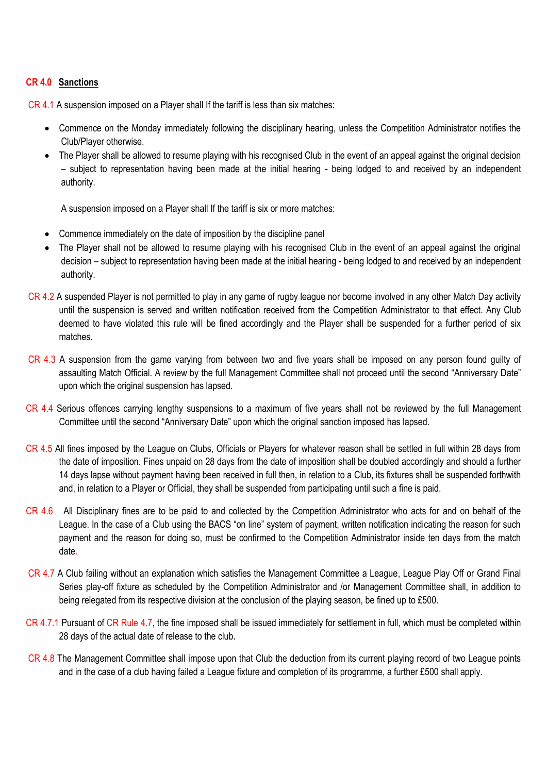# **CR 4.0 Sanctions**

CR 4.1 A suspension imposed on a Player shall If the tariff is less than six matches:

- Commence on the Monday immediately following the disciplinary hearing, unless the Competition Administrator notifies the Club/Player otherwise.
- The Player shall be allowed to resume playing with his recognised Club in the event of an appeal against the original decision – subject to representation having been made at the initial hearing - being lodged to and received by an independent authority.

A suspension imposed on a Player shall If the tariff is six or more matches:

- Commence immediately on the date of imposition by the discipline panel
- The Player shall not be allowed to resume playing with his recognised Club in the event of an appeal against the original decision – subject to representation having been made at the initial hearing - being lodged to and received by an independent authority.
- CR 4.2 A suspended Player is not permitted to play in any game of rugby league nor become involved in any other Match Day activity until the suspension is served and written notification received from the Competition Administrator to that effect. Any Club deemed to have violated this rule will be fined accordingly and the Player shall be suspended for a further period of six matches.
- CR 4.3 A suspension from the game varying from between two and five years shall be imposed on any person found guilty of assaulting Match Official. A review by the full Management Committee shall not proceed until the second "Anniversary Date" upon which the original suspension has lapsed.
- CR 4.4 Serious offences carrying lengthy suspensions to a maximum of five years shall not be reviewed by the full Management Committee until the second "Anniversary Date" upon which the original sanction imposed has lapsed.
- CR 4.5 All fines imposed by the League on Clubs, Officials or Players for whatever reason shall be settled in full within 28 days from the date of imposition. Fines unpaid on 28 days from the date of imposition shall be doubled accordingly and should a further 14 days lapse without payment having been received in full then, in relation to a Club, its fixtures shall be suspended forthwith and, in relation to a Player or Official, they shall be suspended from participating until such a fine is paid.
- CR 4.6 All Disciplinary fines are to be paid to and collected by the Competition Administrator who acts for and on behalf of the League. In the case of a Club using the BACS "on line" system of payment, written notification indicating the reason for such payment and the reason for doing so, must be confirmed to the Competition Administrator inside ten days from the match date.
- CR 4.7 A Club failing without an explanation which satisfies the Management Committee a League, League Play Off or Grand Final Series play-off fixture as scheduled by the Competition Administrator and /or Management Committee shall, in addition to being relegated from its respective division at the conclusion of the playing season, be fined up to £500.
- CR 4.7.1 Pursuant of CR Rule 4.7, the fine imposed shall be issued immediately for settlement in full, which must be completed within 28 days of the actual date of release to the club.
- CR 4.8 The Management Committee shall impose upon that Club the deduction from its current playing record of two League points and in the case of a club having failed a League fixture and completion of its programme, a further £500 shall apply.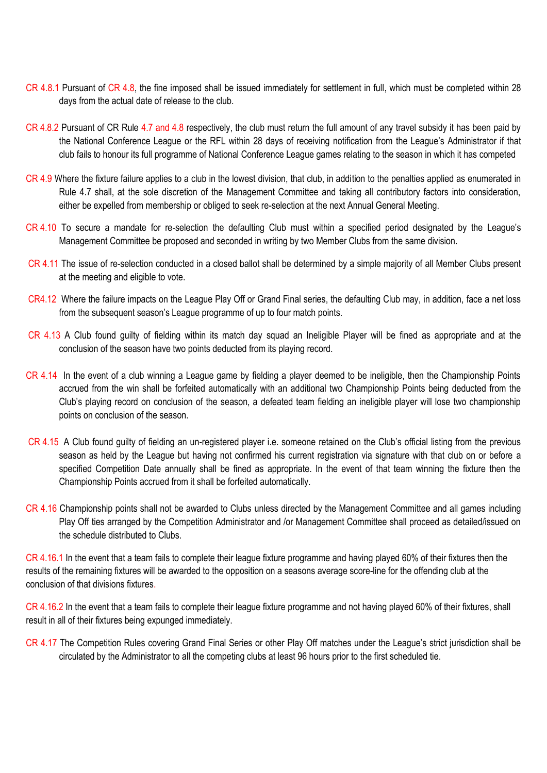- CR 4.8.1 Pursuant of CR 4.8, the fine imposed shall be issued immediately for settlement in full, which must be completed within 28 days from the actual date of release to the club.
- CR 4.8.2 Pursuant of CR Rule 4.7 and 4.8 respectively, the club must return the full amount of any travel subsidy it has been paid by the National Conference League or the RFL within 28 days of receiving notification from the League's Administrator if that club fails to honour its full programme of National Conference League games relating to the season in which it has competed
- CR 4.9 Where the fixture failure applies to a club in the lowest division, that club, in addition to the penalties applied as enumerated in Rule 4.7 shall, at the sole discretion of the Management Committee and taking all contributory factors into consideration, either be expelled from membership or obliged to seek re-selection at the next Annual General Meeting.
- CR 4.10 To secure a mandate for re-selection the defaulting Club must within a specified period designated by the League's Management Committee be proposed and seconded in writing by two Member Clubs from the same division.
- CR 4.11 The issue of re-selection conducted in a closed ballot shall be determined by a simple majority of all Member Clubs present at the meeting and eligible to vote.
- CR4.12 Where the failure impacts on the League Play Off or Grand Final series, the defaulting Club may, in addition, face a net loss from the subsequent season's League programme of up to four match points.
- CR 4.13 A Club found guilty of fielding within its match day squad an Ineligible Player will be fined as appropriate and at the conclusion of the season have two points deducted from its playing record.
- CR 4.14 In the event of a club winning a League game by fielding a player deemed to be ineligible, then the Championship Points accrued from the win shall be forfeited automatically with an additional two Championship Points being deducted from the Club's playing record on conclusion of the season, a defeated team fielding an ineligible player will lose two championship points on conclusion of the season.
- CR 4.15 A Club found guilty of fielding an un-registered player i.e. someone retained on the Club's official listing from the previous season as held by the League but having not confirmed his current registration via signature with that club on or before a specified Competition Date annually shall be fined as appropriate. In the event of that team winning the fixture then the Championship Points accrued from it shall be forfeited automatically.
- CR 4.16 Championship points shall not be awarded to Clubs unless directed by the Management Committee and all games including Play Off ties arranged by the Competition Administrator and /or Management Committee shall proceed as detailed/issued on the schedule distributed to Clubs.

CR 4.16.1 In the event that a team fails to complete their league fixture programme and having played 60% of their fixtures then the results of the remaining fixtures will be awarded to the opposition on a seasons average score-line for the offending club at the conclusion of that divisions fixtures.

CR 4.16.2 In the event that a team fails to complete their league fixture programme and not having played 60% of their fixtures, shall result in all of their fixtures being expunged immediately.

CR 4.17 The Competition Rules covering Grand Final Series or other Play Off matches under the League's strict jurisdiction shall be circulated by the Administrator to all the competing clubs at least 96 hours prior to the first scheduled tie.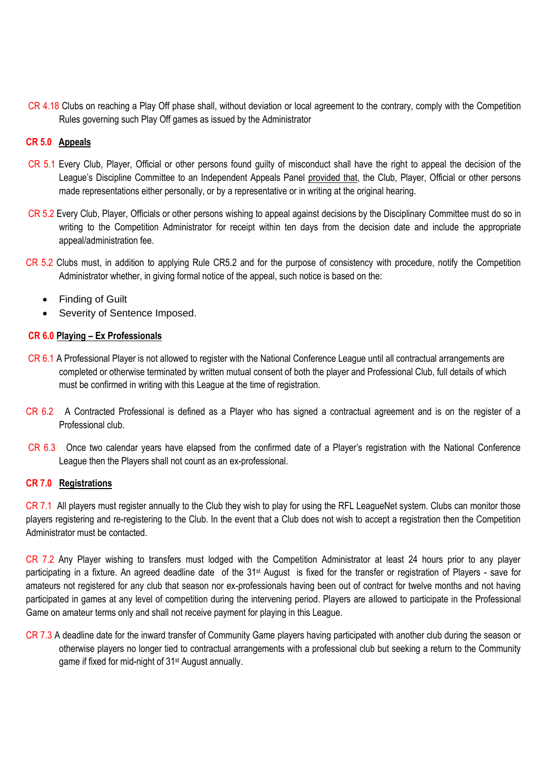CR 4.18 Clubs on reaching a Play Off phase shall, without deviation or local agreement to the contrary, comply with the Competition Rules governing such Play Off games as issued by the Administrator

# **CR 5.0 Appeals**

- CR 5.1 Every Club, Player, Official or other persons found guilty of misconduct shall have the right to appeal the decision of the League's Discipline Committee to an Independent Appeals Panel provided that, the Club, Player, Official or other persons made representations either personally, or by a representative or in writing at the original hearing.
- CR 5.2 Every Club, Player, Officials or other persons wishing to appeal against decisions by the Disciplinary Committee must do so in writing to the Competition Administrator for receipt within ten days from the decision date and include the appropriate appeal/administration fee.
- CR 5.2 Clubs must, in addition to applying Rule CR5.2 and for the purpose of consistency with procedure, notify the Competition Administrator whether, in giving formal notice of the appeal, such notice is based on the:
	- Finding of Guilt
	- Severity of Sentence Imposed.

# **CR 6.0 Playing – Ex Professionals**

- CR 6.1 A Professional Player is not allowed to register with the National Conference League until all contractual arrangements are completed or otherwise terminated by written mutual consent of both the player and Professional Club, full details of which must be confirmed in writing with this League at the time of registration.
- CR 6.2 A Contracted Professional is defined as a Player who has signed a contractual agreement and is on the register of a Professional club.
- CR 6.3Once two calendar years have elapsed from the confirmed date of a Player's registration with the National Conference League then the Players shall not count as an ex-professional.

### **CR 7.0 Registrations**

CR 7.1 All players must register annually to the Club they wish to play for using the RFL LeagueNet system. Clubs can monitor those players registering and re-registering to the Club. In the event that a Club does not wish to accept a registration then the Competition Administrator must be contacted.

CR 7.2 Any Player wishing to transfers must lodged with the Competition Administrator at least 24 hours prior to any player participating in a fixture. An agreed deadline date of the 31<sup>st</sup> August is fixed for the transfer or registration of Players - save for amateurs not registered for any club that season nor ex-professionals having been out of contract for twelve months and not having participated in games at any level of competition during the intervening period. Players are allowed to participate in the Professional Game on amateur terms only and shall not receive payment for playing in this League.

CR 7.3 A deadline date for the inward transfer of Community Game players having participated with another club during the season or otherwise players no longer tied to contractual arrangements with a professional club but seeking a return to the Community game if fixed for mid-night of 31st August annually.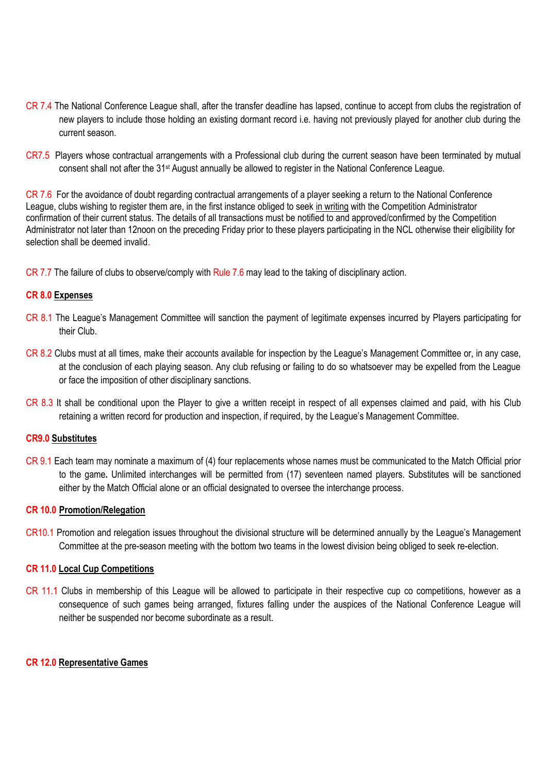- CR 7.4 The National Conference League shall, after the transfer deadline has lapsed, continue to accept from clubs the registration of new players to include those holding an existing dormant record i.e. having not previously played for another club during the current season.
- CR7.5 Players whose contractual arrangements with a Professional club during the current season have been terminated by mutual consent shall not after the 31st August annually be allowed to register in the National Conference League.

CR 7.6 For the avoidance of doubt regarding contractual arrangements of a player seeking a return to the National Conference League, clubs wishing to register them are, in the first instance obliged to seek in writing with the Competition Administrator confirmation of their current status. The details of all transactions must be notified to and approved/confirmed by the Competition Administrator not later than 12noon on the preceding Friday prior to these players participating in the NCL otherwise their eligibility for selection shall be deemed invalid.

CR 7.7 The failure of clubs to observe/comply with Rule 7.6 may lead to the taking of disciplinary action.

# **CR 8.0 Expenses**

- CR 8.1 The League's Management Committee will sanction the payment of legitimate expenses incurred by Players participating for their Club.
- CR 8.2 Clubs must at all times, make their accounts available for inspection by the League's Management Committee or, in any case, at the conclusion of each playing season. Any club refusing or failing to do so whatsoever may be expelled from the League or face the imposition of other disciplinary sanctions.
- CR 8.3 It shall be conditional upon the Player to give a written receipt in respect of all expenses claimed and paid, with his Club retaining a written record for production and inspection, if required, by the League's Management Committee.

#### **CR9.0 Substitutes**

CR 9.1 Each team may nominate a maximum of (4) four replacements whose names must be communicated to the Match Official prior to the game**.** Unlimited interchanges will be permitted from (17) seventeen named players. Substitutes will be sanctioned either by the Match Official alone or an official designated to oversee the interchange process.

#### **CR 10.0 Promotion/Relegation**

CR10.1 Promotion and relegation issues throughout the divisional structure will be determined annually by the League's Management Committee at the pre-season meeting with the bottom two teams in the lowest division being obliged to seek re-election.

# **CR 11.0 Local Cup Competitions**

CR 11.1 Clubs in membership of this League will be allowed to participate in their respective cup co competitions, however as a consequence of such games being arranged, fixtures falling under the auspices of the National Conference League will neither be suspended nor become subordinate as a result.

#### **CR 12.0 Representative Games**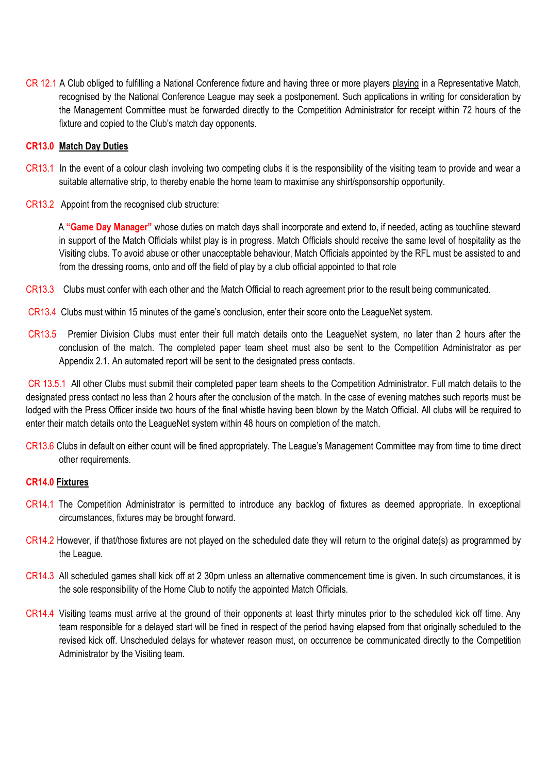CR 12.1 A Club obliged to fulfilling a National Conference fixture and having three or more players playing in a Representative Match, recognised by the National Conference League may seek a postponement. Such applications in writing for consideration by the Management Committee must be forwarded directly to the Competition Administrator for receipt within 72 hours of the fixture and copied to the Club's match day opponents.

# **CR13.0 Match Day Duties**

- CR13.1 In the event of a colour clash involving two competing clubs it is the responsibility of the visiting team to provide and wear a suitable alternative strip, to thereby enable the home team to maximise any shirt/sponsorship opportunity.
- CR13.2 Appoint from the recognised club structure:

 A **"Game Day Manager"** whose duties on match days shall incorporate and extend to, if needed, acting as touchline steward in support of the Match Officials whilst play is in progress. Match Officials should receive the same level of hospitality as the Visiting clubs. To avoid abuse or other unacceptable behaviour, Match Officials appointed by the RFL must be assisted to and from the dressing rooms, onto and off the field of play by a club official appointed to that role

- CR13.3 Clubs must confer with each other and the Match Official to reach agreement prior to the result being communicated.
- CR13.4 Clubs must within 15 minutes of the game's conclusion, enter their score onto the LeagueNet system.
- CR13.5 Premier Division Clubs must enter their full match details onto the LeagueNet system, no later than 2 hours after the conclusion of the match. The completed paper team sheet must also be sent to the Competition Administrator as per Appendix 2.1. An automated report will be sent to the designated press contacts.

CR 13.5.1 All other Clubs must submit their completed paper team sheets to the Competition Administrator. Full match details to the designated press contact no less than 2 hours after the conclusion of the match. In the case of evening matches such reports must be lodged with the Press Officer inside two hours of the final whistle having been blown by the Match Official. All clubs will be required to enter their match details onto the LeagueNet system within 48 hours on completion of the match.

CR13.6 Clubs in default on either count will be fined appropriately. The League's Management Committee may from time to time direct other requirements.

#### **CR14.0 Fixtures**

- CR14.1 The Competition Administrator is permitted to introduce any backlog of fixtures as deemed appropriate. In exceptional circumstances, fixtures may be brought forward.
- CR14.2 However, if that/those fixtures are not played on the scheduled date they will return to the original date(s) as programmed by the League.
- CR14.3 All scheduled games shall kick off at 2 30pm unless an alternative commencement time is given. In such circumstances, it is the sole responsibility of the Home Club to notify the appointed Match Officials.
- CR14.4 Visiting teams must arrive at the ground of their opponents at least thirty minutes prior to the scheduled kick off time. Any team responsible for a delayed start will be fined in respect of the period having elapsed from that originally scheduled to the revised kick off. Unscheduled delays for whatever reason must, on occurrence be communicated directly to the Competition Administrator by the Visiting team.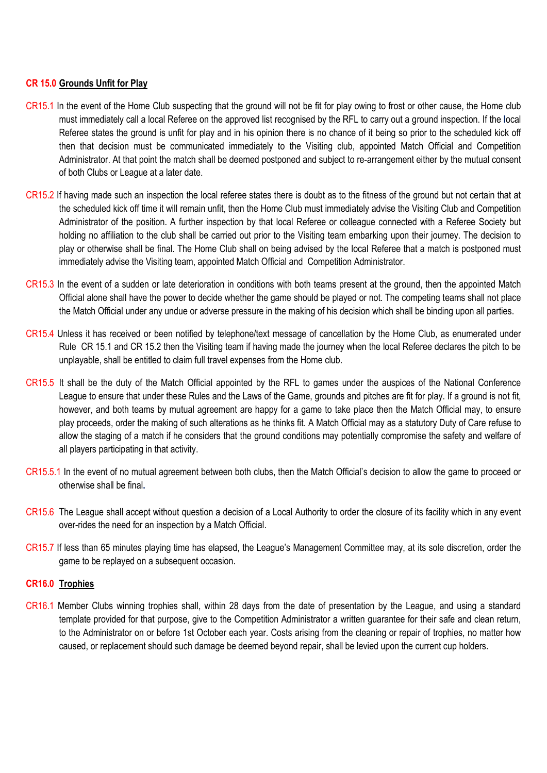# **CR 15.0 Grounds Unfit for Play**

- CR15.1 In the event of the Home Club suspecting that the ground will not be fit for play owing to frost or other cause, the Home club must immediately call a local Referee on the approved list recognised by the RFL to carry out a ground inspection. If the **l**ocal Referee states the ground is unfit for play and in his opinion there is no chance of it being so prior to the scheduled kick off then that decision must be communicated immediately to the Visiting club, appointed Match Official and Competition Administrator. At that point the match shall be deemed postponed and subject to re-arrangement either by the mutual consent of both Clubs or League at a later date.
- CR15.2 If having made such an inspection the local referee states there is doubt as to the fitness of the ground but not certain that at the scheduled kick off time it will remain unfit, then the Home Club must immediately advise the Visiting Club and Competition Administrator of the position. A further inspection by that local Referee or colleague connected with a Referee Society but holding no affiliation to the club shall be carried out prior to the Visiting team embarking upon their journey. The decision to play or otherwise shall be final. The Home Club shall on being advised by the local Referee that a match is postponed must immediately advise the Visiting team, appointed Match Official and Competition Administrator.
- CR15.3 In the event of a sudden or late deterioration in conditions with both teams present at the ground, then the appointed Match Official alone shall have the power to decide whether the game should be played or not. The competing teams shall not place the Match Official under any undue or adverse pressure in the making of his decision which shall be binding upon all parties.
- CR15.4 Unless it has received or been notified by telephone/text message of cancellation by the Home Club, as enumerated under Rule CR 15.1 and CR 15.2 then the Visiting team if having made the journey when the local Referee declares the pitch to be unplayable, shall be entitled to claim full travel expenses from the Home club.
- CR15.5 It shall be the duty of the Match Official appointed by the RFL to games under the auspices of the National Conference League to ensure that under these Rules and the Laws of the Game, grounds and pitches are fit for play. If a ground is not fit, however, and both teams by mutual agreement are happy for a game to take place then the Match Official may, to ensure play proceeds, order the making of such alterations as he thinks fit. A Match Official may as a statutory Duty of Care refuse to allow the staging of a match if he considers that the ground conditions may potentially compromise the safety and welfare of all players participating in that activity.
- CR15.5.1 In the event of no mutual agreement between both clubs, then the Match Official's decision to allow the game to proceed or otherwise shall be final**.**
- CR15.6 The League shall accept without question a decision of a Local Authority to order the closure of its facility which in any event over-rides the need for an inspection by a Match Official.
- CR15.7 If less than 65 minutes playing time has elapsed, the League's Management Committee may, at its sole discretion, order the game to be replayed on a subsequent occasion.

#### **CR16.0 Trophies**

CR16.1 Member Clubs winning trophies shall, within 28 days from the date of presentation by the League, and using a standard template provided for that purpose, give to the Competition Administrator a written guarantee for their safe and clean return, to the Administrator on or before 1st October each year. Costs arising from the cleaning or repair of trophies, no matter how caused, or replacement should such damage be deemed beyond repair, shall be levied upon the current cup holders.